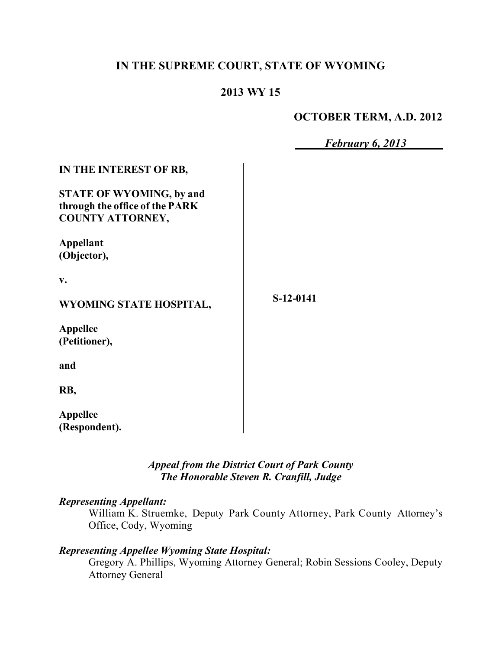# **IN THE SUPREME COURT, STATE OF WYOMING**

# **2013 WY 15**

## **OCTOBER TERM, A.D. 2012**

|                                                                                                                        | February 6, 2013 |
|------------------------------------------------------------------------------------------------------------------------|------------------|
| IN THE INTEREST OF RB,<br><b>STATE OF WYOMING, by and</b><br>through the office of the PARK<br><b>COUNTY ATTORNEY,</b> |                  |
| <b>Appellant</b><br>(Objector),                                                                                        |                  |
| v.<br>WYOMING STATE HOSPITAL,                                                                                          | S-12-0141        |
| <b>Appellee</b><br>(Petitioner),                                                                                       |                  |
| and                                                                                                                    |                  |
| RB,                                                                                                                    |                  |
| <b>Appellee</b><br>(Respondent).                                                                                       |                  |

*Appeal from the District Court of Park County The Honorable Steven R. Cranfill, Judge* 

### *Representing Appellant:*

William K. Struemke, Deputy Park County Attorney, Park County Attorney's Office, Cody, Wyoming

# *Representing Appellee Wyoming State Hospital:*

Gregory A. Phillips, Wyoming Attorney General; Robin Sessions Cooley, Deputy Attorney General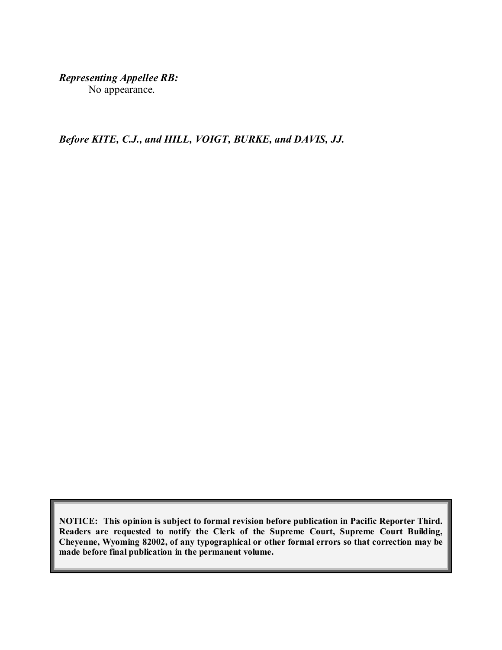*Representing Appellee RB:*

No appearance.

*Before KITE, C.J., and HILL, VOIGT, BURKE, and DAVIS, JJ.*

**NOTICE: This opinion is subject to formal revision before publication in Pacific Reporter Third. Readers are requested to notify the Clerk of the Supreme Court, Supreme Court Building, Cheyenne, Wyoming 82002, of any typographical or other formal errors so that correction may be made before final publication in the permanent volume.**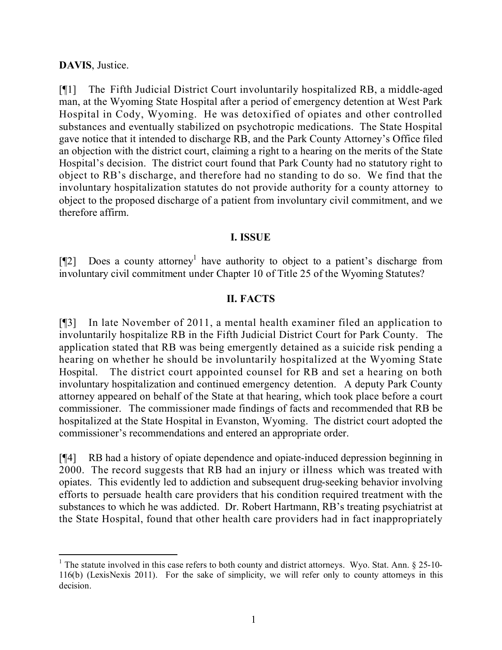## **DAVIS**, Justice.

[¶1] The Fifth Judicial District Court involuntarily hospitalized RB, a middle-aged man, at the Wyoming State Hospital after a period of emergency detention at West Park Hospital in Cody, Wyoming. He was detoxified of opiates and other controlled substances and eventually stabilized on psychotropic medications. The State Hospital gave notice that it intended to discharge RB, and the Park County Attorney's Office filed an objection with the district court, claiming a right to a hearing on the merits of the State Hospital's decision. The district court found that Park County had no statutory right to object to RB's discharge, and therefore had no standing to do so. We find that the involuntary hospitalization statutes do not provide authority for a county attorney to object to the proposed discharge of a patient from involuntary civil commitment, and we therefore affirm.

### **I. ISSUE**

[ $[$ [2] Does a county attorney<sup>1</sup> have authority to object to a patient's discharge from involuntary civil commitment under Chapter 10 of Title 25 of the Wyoming Statutes?

### **II. FACTS**

[¶3] In late November of 2011, a mental health examiner filed an application to involuntarily hospitalize RB in the Fifth Judicial District Court for Park County. The application stated that RB was being emergently detained as a suicide risk pending a hearing on whether he should be involuntarily hospitalized at the Wyoming State Hospital. The district court appointed counsel for RB and set a hearing on both involuntary hospitalization and continued emergency detention. A deputy Park County attorney appeared on behalf of the State at that hearing, which took place before a court commissioner. The commissioner made findings of facts and recommended that RB be hospitalized at the State Hospital in Evanston, Wyoming. The district court adopted the commissioner's recommendations and entered an appropriate order.

[¶4] RB had a history of opiate dependence and opiate-induced depression beginning in 2000. The record suggests that RB had an injury or illness which was treated with opiates. This evidently led to addiction and subsequent drug-seeking behavior involving efforts to persuade health care providers that his condition required treatment with the substances to which he was addicted. Dr. Robert Hartmann, RB's treating psychiatrist at the State Hospital, found that other health care providers had in fact inappropriately

<sup>&</sup>lt;sup>1</sup> The statute involved in this case refers to both county and district attorneys. Wyo. Stat. Ann.  $\S$  25-10-116(b) (LexisNexis 2011). For the sake of simplicity, we will refer only to county attorneys in this decision.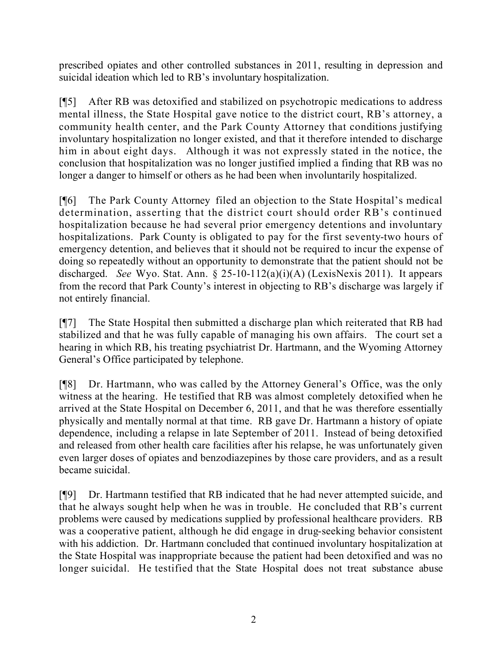prescribed opiates and other controlled substances in 2011, resulting in depression and suicidal ideation which led to RB's involuntary hospitalization.

[¶5] After RB was detoxified and stabilized on psychotropic medications to address mental illness, the State Hospital gave notice to the district court, RB's attorney, a community health center, and the Park County Attorney that conditions justifying involuntary hospitalization no longer existed, and that it therefore intended to discharge him in about eight days. Although it was not expressly stated in the notice, the conclusion that hospitalization was no longer justified implied a finding that RB was no longer a danger to himself or others as he had been when involuntarily hospitalized.

[¶6] The Park County Attorney filed an objection to the State Hospital's medical determination, asserting that the district court should order RB's continued hospitalization because he had several prior emergency detentions and involuntary hospitalizations. Park County is obligated to pay for the first seventy-two hours of emergency detention, and believes that it should not be required to incur the expense of doing so repeatedly without an opportunity to demonstrate that the patient should not be discharged. *See* Wyo. Stat. Ann. § 25-10-112(a)(i)(A) (LexisNexis 2011). It appears from the record that Park County's interest in objecting to RB's discharge was largely if not entirely financial.

[¶7] The State Hospital then submitted a discharge plan which reiterated that RB had stabilized and that he was fully capable of managing his own affairs. The court set a hearing in which RB, his treating psychiatrist Dr. Hartmann, and the Wyoming Attorney General's Office participated by telephone.

[¶8] Dr. Hartmann, who was called by the Attorney General's Office, was the only witness at the hearing. He testified that RB was almost completely detoxified when he arrived at the State Hospital on December 6, 2011, and that he was therefore essentially physically and mentally normal at that time. RB gave Dr. Hartmann a history of opiate dependence, including a relapse in late September of 2011. Instead of being detoxified and released from other health care facilities after his relapse, he was unfortunately given even larger doses of opiates and benzodiazepines by those care providers, and as a result became suicidal.

[¶9] Dr. Hartmann testified that RB indicated that he had never attempted suicide, and that he always sought help when he was in trouble. He concluded that RB's current problems were caused by medications supplied by professional healthcare providers. RB was a cooperative patient, although he did engage in drug-seeking behavior consistent with his addiction. Dr. Hartmann concluded that continued involuntary hospitalization at the State Hospital was inappropriate because the patient had been detoxified and was no longer suicidal. He testified that the State Hospital does not treat substance abuse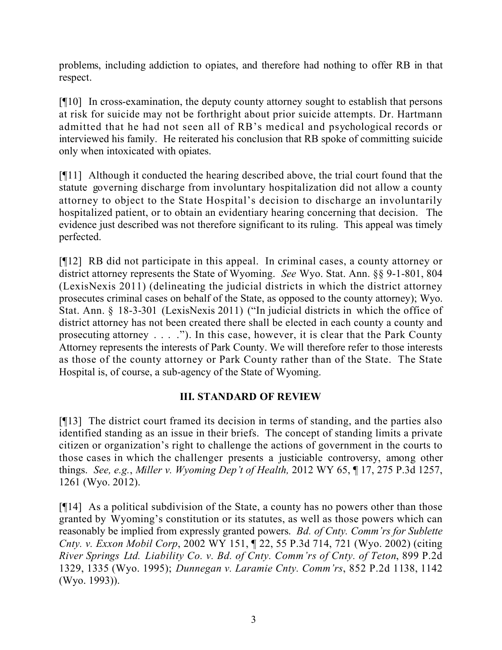problems, including addiction to opiates, and therefore had nothing to offer RB in that respect.

[¶10] In cross-examination, the deputy county attorney sought to establish that persons at risk for suicide may not be forthright about prior suicide attempts. Dr. Hartmann admitted that he had not seen all of RB's medical and psychological records or interviewed his family. He reiterated his conclusion that RB spoke of committing suicide only when intoxicated with opiates.

[¶11] Although it conducted the hearing described above, the trial court found that the statute governing discharge from involuntary hospitalization did not allow a county attorney to object to the State Hospital's decision to discharge an involuntarily hospitalized patient, or to obtain an evidentiary hearing concerning that decision. The evidence just described was not therefore significant to its ruling. This appeal was timely perfected.

[¶12] RB did not participate in this appeal. In criminal cases, a county attorney or district attorney represents the State of Wyoming. *See* Wyo. Stat. Ann. §§ 9-1-801, 804 (LexisNexis 2011) (delineating the judicial districts in which the district attorney prosecutes criminal cases on behalf of the State, as opposed to the county attorney); Wyo. Stat. Ann. § 18-3-301 (LexisNexis 2011) ("In judicial districts in which the office of district attorney has not been created there shall be elected in each county a county and prosecuting attorney . . . ."). In this case, however, it is clear that the Park County Attorney represents the interests of Park County. We will therefore refer to those interests as those of the county attorney or Park County rather than of the State. The State Hospital is, of course, a sub-agency of the State of Wyoming.

# **III. STANDARD OF REVIEW**

[¶13] The district court framed its decision in terms of standing, and the parties also identified standing as an issue in their briefs. The concept of standing limits a private citizen or organization's right to challenge the actions of government in the courts to those cases in which the challenger presents a justiciable controversy, among other things. *See, e.g.*, *Miller v. Wyoming Dep't of Health,* 2012 WY 65, ¶ 17, 275 P.3d 1257, 1261 (Wyo. 2012).

[¶14] As a political subdivision of the State, a county has no powers other than those granted by Wyoming's constitution or its statutes, as well as those powers which can reasonably be implied from expressly granted powers. *Bd. of Cnty. Comm'rs for Sublette Cnty. v. Exxon Mobil Corp*, 2002 WY 151, ¶ 22, 55 P.3d 714, 721 (Wyo. 2002) (citing *River Springs Ltd. Liability Co. v. Bd. of Cnty. Comm'rs of Cnty. of Teton*, 899 P.2d 1329, 1335 (Wyo. 1995); *Dunnegan v. Laramie Cnty. Comm'rs*, 852 P.2d 1138, 1142 (Wyo. 1993)).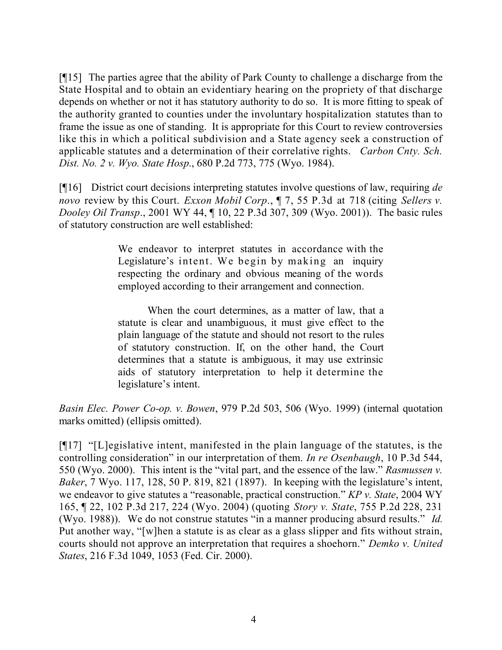[¶15] The parties agree that the ability of Park County to challenge a discharge from the State Hospital and to obtain an evidentiary hearing on the propriety of that discharge depends on whether or not it has statutory authority to do so. It is more fitting to speak of the authority granted to counties under the involuntary hospitalization statutes than to frame the issue as one of standing. It is appropriate for this Court to review controversies like this in which a political subdivision and a State agency seek a construction of applicable statutes and a determination of their correlative rights. *Carbon Cnty. Sch. Dist. No. 2 v. Wyo. State Hosp*., 680 P.2d 773, 775 (Wyo. 1984).

[¶16] District court decisions interpreting statutes involve questions of law, requiring *de novo* review by this Court. *Exxon Mobil Corp*., ¶ 7, 55 P.3d at 718 (citing *Sellers v. Dooley Oil Transp*., 2001 WY 44, ¶ 10, 22 P.3d 307, 309 (Wyo. 2001)). The basic rules of statutory construction are well established:

> We endeavor to interpret statutes in accordance with the Legislature's intent. We begin by making an inquiry respecting the ordinary and obvious meaning of the words employed according to their arrangement and connection.

> When the court determines, as a matter of law, that a statute is clear and unambiguous, it must give effect to the plain language of the statute and should not resort to the rules of statutory construction. If, on the other hand, the Court determines that a statute is ambiguous, it may use extrinsic aids of statutory interpretation to help it determine the legislature's intent.

*Basin Elec. Power Co-op. v. Bowen*, 979 P.2d 503, 506 (Wyo. 1999) (internal quotation marks omitted) (ellipsis omitted).

[¶17] "[L]egislative intent, manifested in the plain language of the statutes, is the controlling consideration" in our interpretation of them. *In re Osenbaugh*, 10 P.3d 544, 550 (Wyo. 2000). This intent is the "vital part, and the essence of the law." *Rasmussen v. Baker*, 7 Wyo. 117, 128, 50 P. 819, 821 (1897). In keeping with the legislature's intent, we endeavor to give statutes a "reasonable, practical construction." *KP v. State*, 2004 WY 165, ¶ 22, 102 P.3d 217, 224 (Wyo. 2004) (quoting *Story v. State*, 755 P.2d 228, 231 (Wyo. 1988)). We do not construe statutes "in a manner producing absurd results." *Id.* Put another way, "[w]hen a statute is as clear as a glass slipper and fits without strain, courts should not approve an interpretation that requires a shoehorn." *Demko v. United States*, 216 F.3d 1049, 1053 (Fed. Cir. 2000).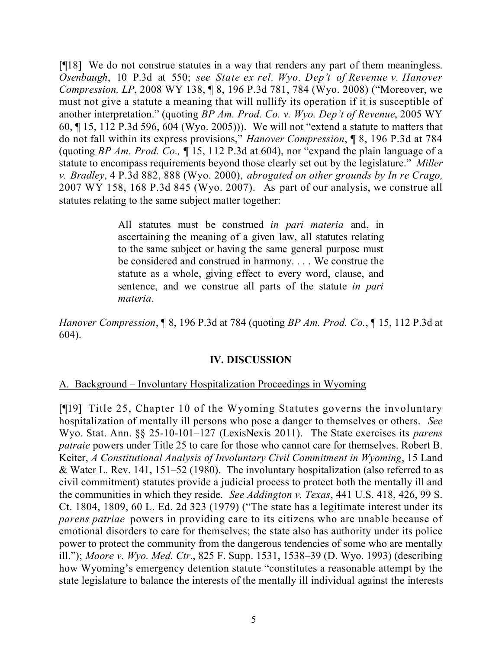[¶18] We do not construe statutes in a way that renders any part of them meaningless. *Osenbaugh*, 10 P.3d at 550; *see State ex rel. Wyo. Dep't of Revenue v. Hanover Compression, LP*, 2008 WY 138, ¶ 8, 196 P.3d 781, 784 (Wyo. 2008) ("Moreover, we must not give a statute a meaning that will nullify its operation if it is susceptible of another interpretation." (quoting *BP Am. Prod. Co. v. Wyo. Dep't of Revenue*, 2005 WY 60, ¶ 15, 112 P.3d 596, 604 (Wyo. 2005))). We will not "extend a statute to matters that do not fall within its express provisions," *Hanover Compression*, ¶ 8, 196 P.3d at 784 (quoting *BP Am. Prod. Co.,* ¶ 15, 112 P.3d at 604), nor "expand the plain language of a statute to encompass requirements beyond those clearly set out by the legislature." *Miller v. Bradley*, 4 P.3d 882, 888 (Wyo. 2000), *abrogated on other grounds by In re Crago,* 2007 WY 158, 168 P.3d 845 (Wyo. 2007). As part of our analysis, we construe all statutes relating to the same subject matter together:

> All statutes must be construed *in pari materia* and, in ascertaining the meaning of a given law, all statutes relating to the same subject or having the same general purpose must be considered and construed in harmony. . . . We construe the statute as a whole, giving effect to every word, clause, and sentence, and we construe all parts of the statute *in pari materia*.

*Hanover Compression*, ¶ 8, 196 P.3d at 784 (quoting *BP Am. Prod. Co.*, ¶ 15, 112 P.3d at 604).

### **IV. DISCUSSION**

### A. Background – Involuntary Hospitalization Proceedings in Wyoming

[¶19] Title 25, Chapter 10 of the Wyoming Statutes governs the involuntary hospitalization of mentally ill persons who pose a danger to themselves or others. *See*  Wyo. Stat. Ann. §§ 25-10-101–127 (LexisNexis 2011). The State exercises its *parens patraie* powers under Title 25 to care for those who cannot care for themselves. Robert B. Keiter, *A Constitutional Analysis of Involuntary Civil Commitment in Wyoming*, 15 Land & Water L. Rev. 141, 151–52 (1980). The involuntary hospitalization (also referred to as civil commitment) statutes provide a judicial process to protect both the mentally ill and the communities in which they reside. *See Addington v. Texas*, 441 U.S. 418, 426, 99 S. Ct. 1804, 1809, 60 L. Ed. 2d 323 (1979) ("The state has a legitimate interest under its *parens patriae* powers in providing care to its citizens who are unable because of emotional disorders to care for themselves; the state also has authority under its police power to protect the community from the dangerous tendencies of some who are mentally ill."); *Moore v. Wyo. Med. Ctr.*, 825 F. Supp. 1531, 1538–39 (D. Wyo. 1993) (describing how Wyoming's emergency detention statute "constitutes a reasonable attempt by the state legislature to balance the interests of the mentally ill individual against the interests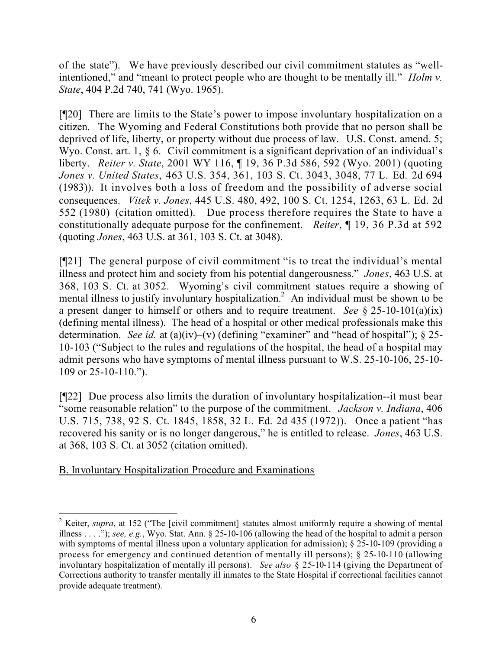of the state"). We have previously described our civil commitment statutes as "wellintentioned," and "meant to protect people who are thought to be mentally ill." *Holm v. State*, 404 P.2d 740, 741 (Wyo. 1965).

[¶20] There are limits to the State's power to impose involuntary hospitalization on a citizen. The Wyoming and Federal Constitutions both provide that no person shall be deprived of life, liberty, or property without due process of law. U.S. Const. amend. 5; Wyo. Const. art. 1, § 6. Civil commitment is a significant deprivation of an individual's liberty. *Reiter v. State*, 2001 WY 116, ¶ 19, 36 P.3d 586, 592 (Wyo. 2001) (quoting *Jones v. United States*, 463 U.S. 354, 361, 103 S. Ct. 3043, 3048, 77 L. Ed. 2d 694 (1983)). It involves both a loss of freedom and the possibility of adverse social consequences. *Vitek v. Jones*, 445 U.S. 480, 492, 100 S. Ct. 1254, 1263, 63 L. Ed. 2d 552 (1980) (citation omitted). Due process therefore requires the State to have a constitutionally adequate purpose for the confinement. *Reiter*, ¶ 19, 36 P.3d at 592 (quoting *Jones*, 463 U.S. at 361, 103 S. Ct. at 3048).

[¶21] The general purpose of civil commitment "is to treat the individual's mental illness and protect him and society from his potential dangerousness." *Jones*, 463 U.S. at 368, 103 S. Ct. at 3052. Wyoming's civil commitment statues require a showing of mental illness to justify involuntary hospitalization.<sup>2</sup> An individual must be shown to be a present danger to himself or others and to require treatment. *See* § 25-10-101(a)(ix) (defining mental illness). The head of a hospital or other medical professionals make this determination. *See id.* at (a)(iv)–(v) (defining "examiner" and "head of hospital"); § 25- 10-103 ("Subject to the rules and regulations of the hospital, the head of a hospital may admit persons who have symptoms of mental illness pursuant to W.S. 25-10-106, 25-10- 109 or 25-10-110.").

[¶22] Due process also limits the duration of involuntary hospitalization--it must bear "some reasonable relation" to the purpose of the commitment. *Jackson v. Indiana*, 406 U.S. 715, 738, 92 S. Ct. 1845, 1858, 32 L. Ed. 2d 435 (1972)). Once a patient "has recovered his sanity or is no longer dangerous," he is entitled to release. *Jones*, 463 U.S. at 368, 103 S. Ct. at 3052 (citation omitted).

## B. Involuntary Hospitalization Procedure and Examinations

 $\overline{a}$ <sup>2</sup> Keiter, *supra*, at 152 ("The [civil commitment] statutes almost uniformly require a showing of mental illness . . . ."); *see, e.g.*, Wyo. Stat. Ann. § 25-10-106 (allowing the head of the hospital to admit a person with symptoms of mental illness upon a voluntary application for admission); § 25-10-109 (providing a process for emergency and continued detention of mentally ill persons); § 25-10-110 (allowing involuntary hospitalization of mentally ill persons). *See also* § 25-10-114 (giving the Department of Corrections authority to transfer mentally ill inmates to the State Hospital if correctional facilities cannot provide adequate treatment).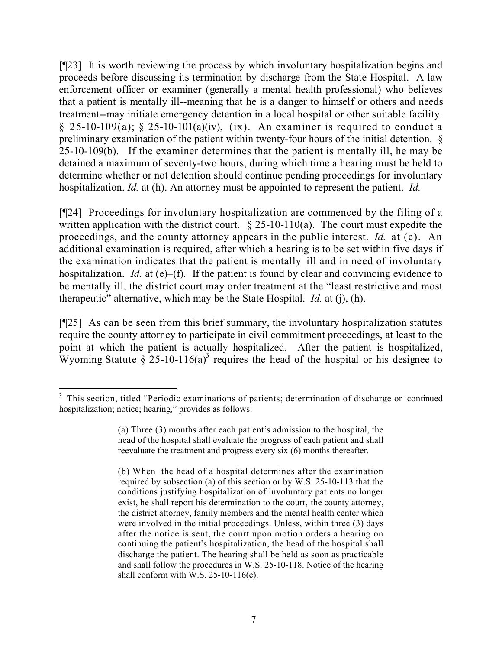[¶23] It is worth reviewing the process by which involuntary hospitalization begins and proceeds before discussing its termination by discharge from the State Hospital. A law enforcement officer or examiner (generally a mental health professional) who believes that a patient is mentally ill--meaning that he is a danger to himself or others and needs treatment--may initiate emergency detention in a local hospital or other suitable facility.  $\S$  25-10-109(a);  $\S$  25-10-101(a)(iv), (ix). An examiner is required to conduct a preliminary examination of the patient within twenty-four hours of the initial detention. § 25-10-109(b). If the examiner determines that the patient is mentally ill, he may be detained a maximum of seventy-two hours, during which time a hearing must be held to determine whether or not detention should continue pending proceedings for involuntary hospitalization. *Id.* at (h). An attorney must be appointed to represent the patient. *Id.*

[¶24] Proceedings for involuntary hospitalization are commenced by the filing of a written application with the district court.  $\S$  25-10-110(a). The court must expedite the proceedings, and the county attorney appears in the public interest. *Id.* at (c). An additional examination is required, after which a hearing is to be set within five days if the examination indicates that the patient is mentally ill and in need of involuntary hospitalization. *Id.* at (e)–(f). If the patient is found by clear and convincing evidence to be mentally ill, the district court may order treatment at the "least restrictive and most therapeutic" alternative, which may be the State Hospital. *Id.* at (j), (h).

[¶25] As can be seen from this brief summary, the involuntary hospitalization statutes require the county attorney to participate in civil commitment proceedings, at least to the point at which the patient is actually hospitalized. After the patient is hospitalized, Wyoming Statute  $\hat{\S}$  25-10-116(a)<sup>3</sup> requires the head of the hospital or his designee to

 <sup>3</sup> This section, titled "Periodic examinations of patients; determination of discharge or continued hospitalization; notice; hearing," provides as follows:

<sup>(</sup>a) Three (3) months after each patient's admission to the hospital, the head of the hospital shall evaluate the progress of each patient and shall reevaluate the treatment and progress every six (6) months thereafter.

<sup>(</sup>b) When the head of a hospital determines after the examination required by subsection (a) of this section or by W.S. 25-10-113 that the conditions justifying hospitalization of involuntary patients no longer exist, he shall report his determination to the court, the county attorney, the district attorney, family members and the mental health center which were involved in the initial proceedings. Unless, within three (3) days after the notice is sent, the court upon motion orders a hearing on continuing the patient's hospitalization, the head of the hospital shall discharge the patient. The hearing shall be held as soon as practicable and shall follow the procedures in W.S. 25-10-118. Notice of the hearing shall conform with W.S.  $25-10-116(c)$ .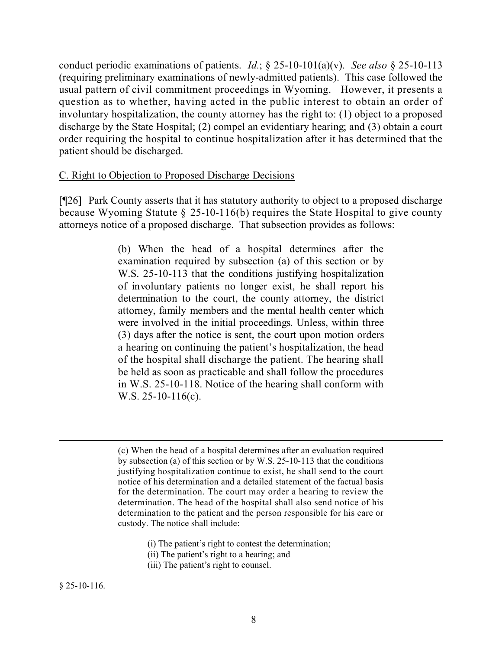conduct periodic examinations of patients. *Id.*; § 25-10-101(a)(v). *See also* § 25-10-113 (requiring preliminary examinations of newly-admitted patients). This case followed the usual pattern of civil commitment proceedings in Wyoming. However, it presents a question as to whether, having acted in the public interest to obtain an order of involuntary hospitalization, the county attorney has the right to: (1) object to a proposed discharge by the State Hospital; (2) compel an evidentiary hearing; and (3) obtain a court order requiring the hospital to continue hospitalization after it has determined that the patient should be discharged.

### C. Right to Objection to Proposed Discharge Decisions

[¶26] Park County asserts that it has statutory authority to object to a proposed discharge because Wyoming Statute § 25-10-116(b) requires the State Hospital to give county attorneys notice of a proposed discharge. That subsection provides as follows:

> (b) When the head of a hospital determines after the examination required by subsection (a) of this section or by W.S. 25-10-113 that the conditions justifying hospitalization of involuntary patients no longer exist, he shall report his determination to the court, the county attorney, the district attorney, family members and the mental health center which were involved in the initial proceedings. Unless, within three (3) days after the notice is sent, the court upon motion orders a hearing on continuing the patient's hospitalization, the head of the hospital shall discharge the patient. The hearing shall be held as soon as practicable and shall follow the procedures in W.S. 25-10-118. Notice of the hearing shall conform with W.S. 25-10-116(c).

- (i) The patient's right to contest the determination;
- (ii) The patient's right to a hearing; and
- (iii) The patient's right to counsel.

<sup>(</sup>c) When the head of a hospital determines after an evaluation required by subsection (a) of this section or by W.S. 25-10-113 that the conditions justifying hospitalization continue to exist, he shall send to the court notice of his determination and a detailed statement of the factual basis for the determination. The court may order a hearing to review the determination. The head of the hospital shall also send notice of his determination to the patient and the person responsible for his care or custody. The notice shall include: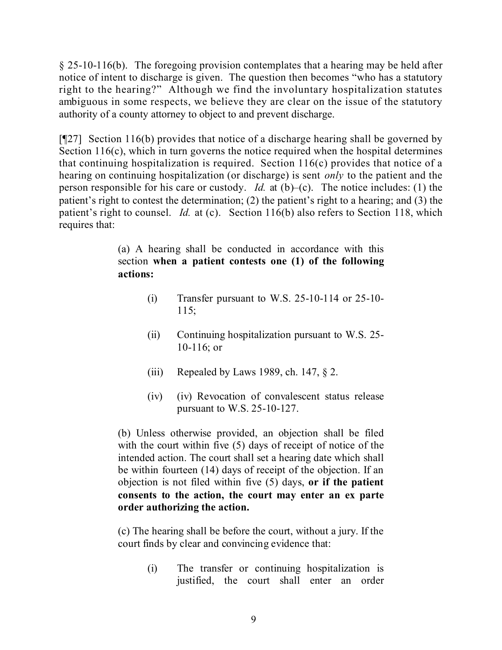§ 25-10-116(b). The foregoing provision contemplates that a hearing may be held after notice of intent to discharge is given. The question then becomes "who has a statutory right to the hearing?" Although we find the involuntary hospitalization statutes ambiguous in some respects, we believe they are clear on the issue of the statutory authority of a county attorney to object to and prevent discharge.

[¶27] Section 116(b) provides that notice of a discharge hearing shall be governed by Section 116(c), which in turn governs the notice required when the hospital determines that continuing hospitalization is required. Section 116(c) provides that notice of a hearing on continuing hospitalization (or discharge) is sent *only* to the patient and the person responsible for his care or custody. *Id.* at  $(b)$ –(c). The notice includes: (1) the patient's right to contest the determination; (2) the patient's right to a hearing; and (3) the patient's right to counsel. *Id.* at (c). Section 116(b) also refers to Section 118, which requires that:

> (a) A hearing shall be conducted in accordance with this section **when a patient contests one (1) of the following actions:**

- (i) Transfer pursuant to W.S. 25-10-114 or 25-10- 115;
- (ii) Continuing hospitalization pursuant to W.S. 25- 10-116; or
- (iii) Repealed by Laws 1989, ch. 147,  $\S 2$ .
- (iv) (iv) Revocation of convalescent status release pursuant to W.S. 25-10-127.

(b) Unless otherwise provided, an objection shall be filed with the court within five (5) days of receipt of notice of the intended action. The court shall set a hearing date which shall be within fourteen (14) days of receipt of the objection. If an objection is not filed within five (5) days, **or if the patient consents to the action, the court may enter an ex parte order authorizing the action.**

(c) The hearing shall be before the court, without a jury. If the court finds by clear and convincing evidence that:

> (i) The transfer or continuing hospitalization is justified, the court shall enter an order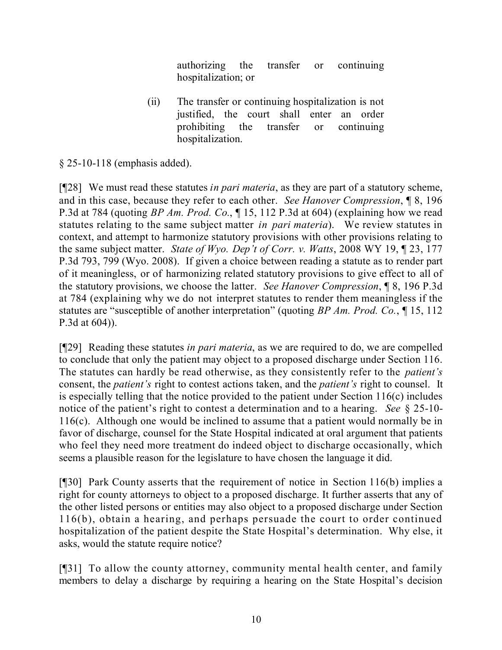authorizing the transfer or continuing hospitalization; or

(ii) The transfer or continuing hospitalization is not justified, the court shall enter an order prohibiting the transfer or continuing hospitalization.

## § 25-10-118 (emphasis added).

[¶28] We must read these statutes *in pari materia*, as they are part of a statutory scheme, and in this case, because they refer to each other. *See Hanover Compression*, ¶ 8, 196 P.3d at 784 (quoting *BP Am. Prod. Co.*, ¶ 15, 112 P.3d at 604) (explaining how we read statutes relating to the same subject matter *in pari materia*). We review statutes in context, and attempt to harmonize statutory provisions with other provisions relating to the same subject matter. *State of Wyo. Dep't of Corr. v. Watts*, 2008 WY 19, ¶ 23, 177 P.3d 793, 799 (Wyo. 2008). If given a choice between reading a statute as to render part of it meaningless, or of harmonizing related statutory provisions to give effect to all of the statutory provisions, we choose the latter. *See Hanover Compression*, ¶ 8, 196 P.3d at 784 (explaining why we do not interpret statutes to render them meaningless if the statutes are "susceptible of another interpretation" (quoting *BP Am. Prod. Co.*, ¶ 15, 112 P.3d at 604)).

[¶29] Reading these statutes *in pari materia*, as we are required to do, we are compelled to conclude that only the patient may object to a proposed discharge under Section 116. The statutes can hardly be read otherwise, as they consistently refer to the *patient's*  consent, the *patient's* right to contest actions taken, and the *patient's* right to counsel. It is especially telling that the notice provided to the patient under Section 116(c) includes notice of the patient's right to contest a determination and to a hearing. *See* § 25-10- 116(c). Although one would be inclined to assume that a patient would normally be in favor of discharge, counsel for the State Hospital indicated at oral argument that patients who feel they need more treatment do indeed object to discharge occasionally, which seems a plausible reason for the legislature to have chosen the language it did.

[¶30] Park County asserts that the requirement of notice in Section 116(b) implies a right for county attorneys to object to a proposed discharge. It further asserts that any of the other listed persons or entities may also object to a proposed discharge under Section 116(b), obtain a hearing, and perhaps persuade the court to order continued hospitalization of the patient despite the State Hospital's determination. Why else, it asks, would the statute require notice?

[¶31] To allow the county attorney, community mental health center, and family members to delay a discharge by requiring a hearing on the State Hospital's decision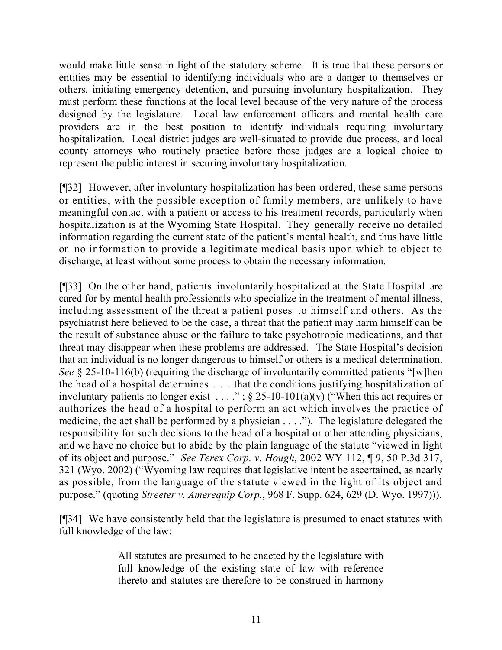would make little sense in light of the statutory scheme. It is true that these persons or entities may be essential to identifying individuals who are a danger to themselves or others, initiating emergency detention, and pursuing involuntary hospitalization. They must perform these functions at the local level because of the very nature of the process designed by the legislature. Local law enforcement officers and mental health care providers are in the best position to identify individuals requiring involuntary hospitalization. Local district judges are well-situated to provide due process, and local county attorneys who routinely practice before those judges are a logical choice to represent the public interest in securing involuntary hospitalization.

[¶32] However, after involuntary hospitalization has been ordered, these same persons or entities, with the possible exception of family members, are unlikely to have meaningful contact with a patient or access to his treatment records, particularly when hospitalization is at the Wyoming State Hospital. They generally receive no detailed information regarding the current state of the patient's mental health, and thus have little or no information to provide a legitimate medical basis upon which to object to discharge, at least without some process to obtain the necessary information.

[¶33] On the other hand, patients involuntarily hospitalized at the State Hospital are cared for by mental health professionals who specialize in the treatment of mental illness, including assessment of the threat a patient poses to himself and others. As the psychiatrist here believed to be the case, a threat that the patient may harm himself can be the result of substance abuse or the failure to take psychotropic medications, and that threat may disappear when these problems are addressed. The State Hospital's decision that an individual is no longer dangerous to himself or others is a medical determination. *See* § 25-10-116(b) (requiring the discharge of involuntarily committed patients "[w]hen the head of a hospital determines . . . that the conditions justifying hospitalization of involuntary patients no longer exist . . . . ";  $\S$  25-10-101(a)(v) ("When this act requires or authorizes the head of a hospital to perform an act which involves the practice of medicine, the act shall be performed by a physician . . . ."). The legislature delegated the responsibility for such decisions to the head of a hospital or other attending physicians, and we have no choice but to abide by the plain language of the statute "viewed in light of its object and purpose." *See Terex Corp. v. Hough*, 2002 WY 112, ¶ 9, 50 P.3d 317, 321 (Wyo. 2002) ("Wyoming law requires that legislative intent be ascertained, as nearly as possible, from the language of the statute viewed in the light of its object and purpose." (quoting *Streeter v. Amerequip Corp.*, 968 F. Supp. 624, 629 (D. Wyo. 1997))).

[¶34] We have consistently held that the legislature is presumed to enact statutes with full knowledge of the law:

> All statutes are presumed to be enacted by the legislature with full knowledge of the existing state of law with reference thereto and statutes are therefore to be construed in harmony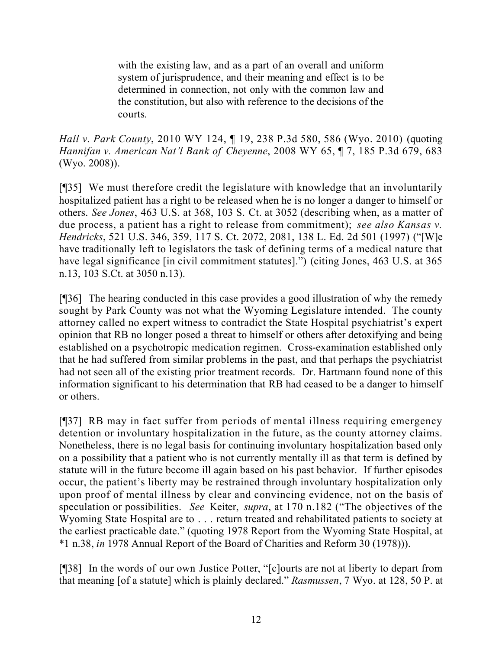with the existing law, and as a part of an overall and uniform system of jurisprudence, and their meaning and effect is to be determined in connection, not only with the common law and the constitution, but also with reference to the decisions of the courts.

*Hall v. Park County*, 2010 WY 124, ¶ 19, 238 P.3d 580, 586 (Wyo. 2010) (quoting *Hannifan v. American Nat'l Bank of Cheyenne*, 2008 WY 65, ¶ 7, 185 P.3d 679, 683 (Wyo. 2008)).

[¶35] We must therefore credit the legislature with knowledge that an involuntarily hospitalized patient has a right to be released when he is no longer a danger to himself or others. *See Jones*, 463 U.S. at 368, 103 S. Ct. at 3052 (describing when, as a matter of due process, a patient has a right to release from commitment); *see also Kansas v. Hendricks*, 521 U.S. 346, 359, 117 S. Ct. 2072, 2081, 138 L. Ed. 2d 501 (1997) ("[W]e have traditionally left to legislators the task of defining terms of a medical nature that have legal significance [in civil commitment statutes].") (citing Jones, 463 U.S. at 365 n.13, 103 S.Ct. at 3050 n.13).

[¶36] The hearing conducted in this case provides a good illustration of why the remedy sought by Park County was not what the Wyoming Legislature intended. The county attorney called no expert witness to contradict the State Hospital psychiatrist's expert opinion that RB no longer posed a threat to himself or others after detoxifying and being established on a psychotropic medication regimen. Cross-examination established only that he had suffered from similar problems in the past, and that perhaps the psychiatrist had not seen all of the existing prior treatment records. Dr. Hartmann found none of this information significant to his determination that RB had ceased to be a danger to himself or others.

[¶37] RB may in fact suffer from periods of mental illness requiring emergency detention or involuntary hospitalization in the future, as the county attorney claims. Nonetheless, there is no legal basis for continuing involuntary hospitalization based only on a possibility that a patient who is not currently mentally ill as that term is defined by statute will in the future become ill again based on his past behavior. If further episodes occur, the patient's liberty may be restrained through involuntary hospitalization only upon proof of mental illness by clear and convincing evidence, not on the basis of speculation or possibilities. *See* Keiter, *supra*, at 170 n.182 ("The objectives of the Wyoming State Hospital are to . . . return treated and rehabilitated patients to society at the earliest practicable date." (quoting 1978 Report from the Wyoming State Hospital, at \*1 n.38, *in* 1978 Annual Report of the Board of Charities and Reform 30 (1978))).

[¶38] In the words of our own Justice Potter, "[c]ourts are not at liberty to depart from that meaning [of a statute] which is plainly declared." *Rasmussen*, 7 Wyo. at 128, 50 P. at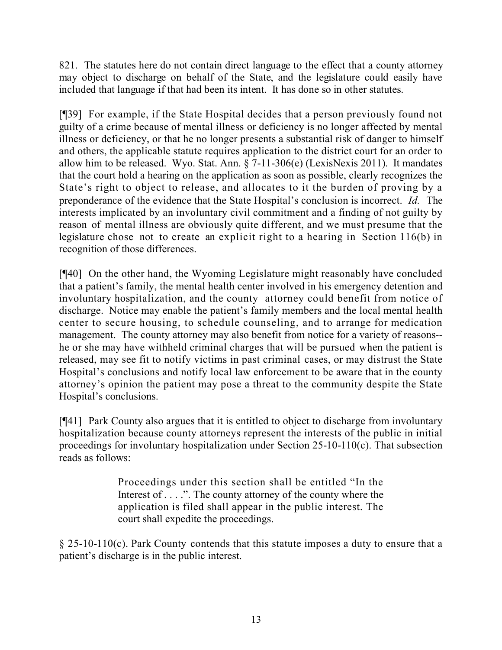821. The statutes here do not contain direct language to the effect that a county attorney may object to discharge on behalf of the State, and the legislature could easily have included that language if that had been its intent. It has done so in other statutes.

[¶39] For example, if the State Hospital decides that a person previously found not guilty of a crime because of mental illness or deficiency is no longer affected by mental illness or deficiency, or that he no longer presents a substantial risk of danger to himself and others, the applicable statute requires application to the district court for an order to allow him to be released. Wyo. Stat. Ann. § 7-11-306(e) (LexisNexis 2011). It mandates that the court hold a hearing on the application as soon as possible, clearly recognizes the State's right to object to release, and allocates to it the burden of proving by a preponderance of the evidence that the State Hospital's conclusion is incorrect. *Id.* The interests implicated by an involuntary civil commitment and a finding of not guilty by reason of mental illness are obviously quite different, and we must presume that the legislature chose not to create an explicit right to a hearing in Section 116(b) in recognition of those differences.

[¶40] On the other hand, the Wyoming Legislature might reasonably have concluded that a patient's family, the mental health center involved in his emergency detention and involuntary hospitalization, and the county attorney could benefit from notice of discharge. Notice may enable the patient's family members and the local mental health center to secure housing, to schedule counseling, and to arrange for medication management. The county attorney may also benefit from notice for a variety of reasons- he or she may have withheld criminal charges that will be pursued when the patient is released, may see fit to notify victims in past criminal cases, or may distrust the State Hospital's conclusions and notify local law enforcement to be aware that in the county attorney's opinion the patient may pose a threat to the community despite the State Hospital's conclusions.

[¶41] Park County also argues that it is entitled to object to discharge from involuntary hospitalization because county attorneys represent the interests of the public in initial proceedings for involuntary hospitalization under Section 25-10-110(c). That subsection reads as follows:

> Proceedings under this section shall be entitled "In the Interest of . . . .". The county attorney of the county where the application is filed shall appear in the public interest. The court shall expedite the proceedings.

 $\S 25-10-110(c)$ . Park County contends that this statute imposes a duty to ensure that a patient's discharge is in the public interest.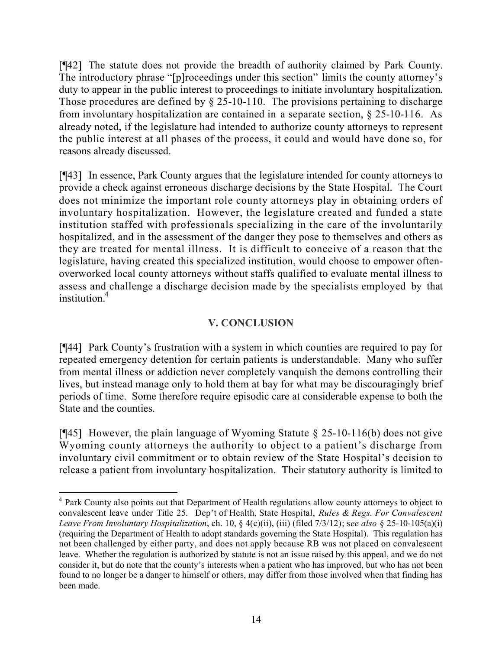[¶42] The statute does not provide the breadth of authority claimed by Park County. The introductory phrase "[p]roceedings under this section" limits the county attorney's duty to appear in the public interest to proceedings to initiate involuntary hospitalization. Those procedures are defined by  $\S$  25-10-110. The provisions pertaining to discharge from involuntary hospitalization are contained in a separate section, § 25-10-116. As already noted, if the legislature had intended to authorize county attorneys to represent the public interest at all phases of the process, it could and would have done so, for reasons already discussed.

[¶43] In essence, Park County argues that the legislature intended for county attorneys to provide a check against erroneous discharge decisions by the State Hospital. The Court does not minimize the important role county attorneys play in obtaining orders of involuntary hospitalization. However, the legislature created and funded a state institution staffed with professionals specializing in the care of the involuntarily hospitalized, and in the assessment of the danger they pose to themselves and others as they are treated for mental illness. It is difficult to conceive of a reason that the legislature, having created this specialized institution, would choose to empower oftenoverworked local county attorneys without staffs qualified to evaluate mental illness to assess and challenge a discharge decision made by the specialists employed by that institution $<sup>4</sup>$ </sup>

# **V. CONCLUSION**

[¶44] Park County's frustration with a system in which counties are required to pay for repeated emergency detention for certain patients is understandable. Many who suffer from mental illness or addiction never completely vanquish the demons controlling their lives, but instead manage only to hold them at bay for what may be discouragingly brief periods of time. Some therefore require episodic care at considerable expense to both the State and the counties.

[ $[45]$ ] However, the plain language of Wyoming Statute § 25-10-116(b) does not give Wyoming county attorneys the authority to object to a patient's discharge from involuntary civil commitment or to obtain review of the State Hospital's decision to release a patient from involuntary hospitalization. Their statutory authority is limited to

 $\overline{a}$ 

<sup>&</sup>lt;sup>4</sup> Park County also points out that Department of Health regulations allow county attorneys to object to convalescent leave under Title 25. Dep't of Health, State Hospital, *Rules & Regs. For Convalescent Leave From Involuntary Hospitalization*, ch. 10, § 4(c)(ii), (iii) (filed 7/3/12); s*ee also* § 25-10-105(a)(i) (requiring the Department of Health to adopt standards governing the State Hospital). This regulation has not been challenged by either party, and does not apply because RB was not placed on convalescent leave. Whether the regulation is authorized by statute is not an issue raised by this appeal, and we do not consider it, but do note that the county's interests when a patient who has improved, but who has not been found to no longer be a danger to himself or others, may differ from those involved when that finding has been made.